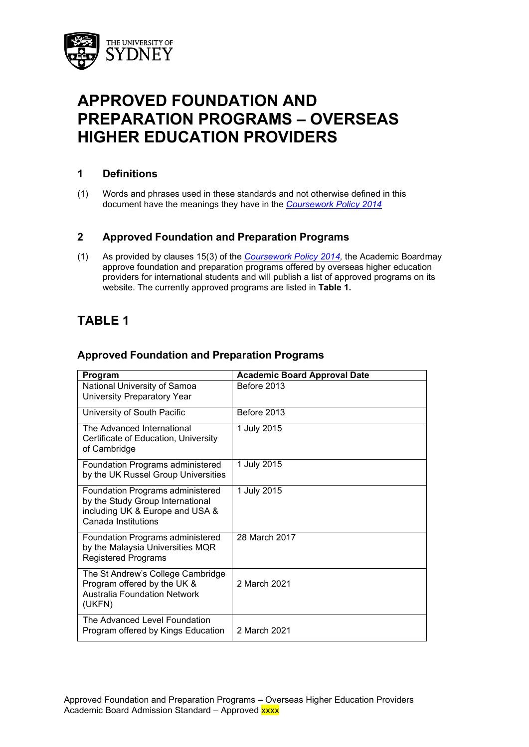

# **APPROVED FOUNDATION AND PREPARATION PROGRAMS – OVERSEAS HIGHER EDUCATION PROVIDERS**

### **1 Definitions**

(1) Words and phrases used in these standards and not otherwise defined in this document have the meanings they have in the *Coursework Policy 2014*

## **2 Approved Foundation and Preparation Programs**

(1) As provided by clauses 15(3) of the *Coursework Policy 2014,* the Academic Boardmay approve foundation and preparation programs offered by overseas higher education providers for international students and will publish a list of approved programs on its website. The currently approved programs are listed in **Table 1.**

# **TABLE 1**

| Program                                                                                                                               | <b>Academic Board Approval Date</b> |
|---------------------------------------------------------------------------------------------------------------------------------------|-------------------------------------|
| National University of Samoa<br>University Preparatory Year                                                                           | Before 2013                         |
| University of South Pacific                                                                                                           | Before 2013                         |
| The Advanced International<br>Certificate of Education, University<br>of Cambridge                                                    | 1 July 2015                         |
| Foundation Programs administered<br>by the UK Russel Group Universities                                                               | 1 July 2015                         |
| <b>Foundation Programs administered</b><br>by the Study Group International<br>including UK & Europe and USA &<br>Canada Institutions | 1 July 2015                         |
| Foundation Programs administered<br>by the Malaysia Universities MQR<br><b>Registered Programs</b>                                    | 28 March 2017                       |
| The St Andrew's College Cambridge<br>Program offered by the UK &<br><b>Australia Foundation Network</b><br>(UKFN)                     | 2 March 2021                        |
| The Advanced Level Foundation<br>Program offered by Kings Education                                                                   | 2 March 2021                        |

#### **Approved Foundation and Preparation Programs**